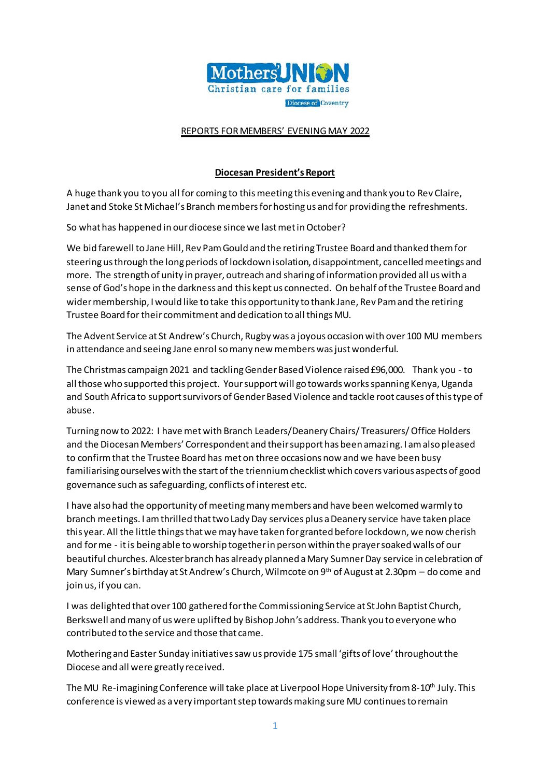

### REPORTS FOR MEMBERS' EVENING MAY 2022

#### **Diocesan President's Report**

A huge thank you to you all for coming to this meeting this evening and thank you to Rev Claire, Janet and Stoke St Michael's Branch members for hosting us and for providing the refreshments.

So what has happened in our diocese since we last met in October?

We bid farewell to Jane Hill, Rev Pam Gould and the retiring Trustee Board and thanked them for steering us through the long periods of lockdown isolation, disappointment, cancelled meetings and more. The strength of unity in prayer, outreach and sharing of information provided all us with a sense of God's hope in the darkness and this kept us connected. On behalf of the Trustee Board and wider membership, I would like to take this opportunity to thank Jane, Rev Pam and the retiring Trustee Board for their commitment and dedication to all things MU.

The Advent Service at St Andrew's Church, Rugby was a joyous occasion with over 100 MU members in attendance and seeing Jane enrol so many new members was just wonderful.

The Christmas campaign 2021 and tackling Gender Based Violence raised £96,000. Thank you - to all those who supported this project. Your support will go towards works spanning Kenya, Uganda and South Africa to support survivors of Gender Based Violence and tackle root causes of this type of abuse.

Turning now to 2022: I have met with Branch Leaders/Deanery Chairs/ Treasurers/ Office Holders and the Diocesan Members' Correspondent and their support has been amazing. I am also pleased to confirm that the Trustee Board has met on three occasions now and we have been busy familiarising ourselves with the start of the triennium checklist which covers various aspects of good governance such as safeguarding, conflicts of interest etc.

I have also had the opportunity of meeting many members and have been welcomed warmly to branch meetings. I am thrilled that two Lady Day services plus a Deanery service have taken place this year. All the little things that we may have taken for granted before lockdown, we now cherish and for me - it is being able to worship together in person within the prayer soaked walls of our beautiful churches. Alcester branch has already planned a Mary Sumner Day service in celebration of Mary Sumner's birthday at St Andrew's Church, Wilmcote on  $9<sup>th</sup>$  of August at 2.30pm – do come and join us, if you can.

I was delighted that over 100 gathered for the Commissioning Service at St John Baptist Church, Berkswell and many of us were uplifted by Bishop John's address. Thank you to everyone who contributed to the service and those that came.

Mothering and Easter Sunday initiatives saw us provide 175 small 'gifts of love' throughout the Diocese and all were greatly received.

The MU Re-imagining Conference will take place at Liverpool Hope University from 8-10th July. This conference is viewed as a very important step towards making sure MU continues to remain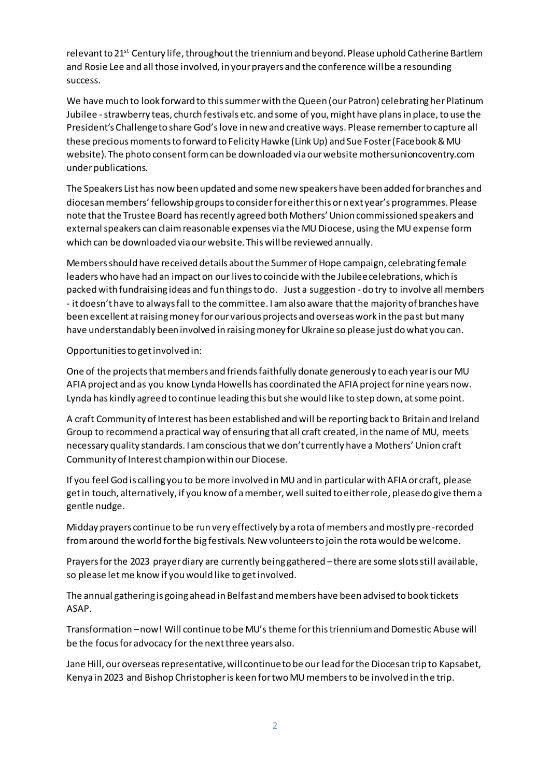relevant to 21<sup>st</sup> Century life, throughout the triennium and beyond. Please uphold Catherine Bartlem and Rosie Lee and all those involved, in your prayers and the conference will be a resounding success.

We have much to look forward to this summer with the Queen (our Patron) celebrating her Platinum Jubilee -strawberry teas, church festivals etc. and some of you, might have plans in place, to use the President's Challenge to share God's love in new and creative ways. Please remember to capture all these precious moments to forward to Felicity Hawke (Link Up) and Sue Foster (Facebook & MU website). The photo consent form can be downloaded via our website mothersunioncoventry.com under publications.

The Speakers List has now been updated and some new speakers have been added for branches and diocesan members' fellowship groups to consider for either this or next year's programmes. Please note that the Trustee Board has recently agreed both Mothers' Union commissioned speakers and external speakers can claim reasonable expenses via the MU Diocese, using the MU expense form which can be downloaded via our website. This will be reviewed annually.

Members should have received details about the Summer of Hope campaign, celebrating female leaders who have had an impact on our lives to coincide with the Jubilee celebrations, which is packed with fundraising ideas and fun things to do. Just a suggestion - do try to involve all members - it doesn't have to always fall to the committee. I am also aware that the majority of branches have been excellent at raising money for our various projects and overseas work in the past but many have understandably been involved in raising money for Ukraine so please just do what you can.

Opportunities to get involved in:

One of the projects that members and friends faithfully donate generously to each year is our MU AFIA project and as you know Lynda Howells has coordinated the AFIA project for nine years now. Lynda has kindly agreed to continue leading this but she would like to step down, at some point.

A craft Community of Interest has been established and will be reporting back to Britain and Ireland Group to recommend a practical way of ensuring that all craft created, in the name of MU, meets necessary quality standards. I am conscious that we don't currently have a Mothers' Union craft Community of Interest champion within our Diocese.

If you feel God is calling you to be more involved in MU and in particular with AFIA or craft, please get in touch, alternatively, if you know of a member, well suited to either role, please do give them a gentle nudge.

Midday prayers continue to be run very effectively by a rota of members and mostly pre-recorded from around the world for the big festivals. New volunteers to join the rota would be welcome.

Prayers for the 2023 prayer diary are currently being gathered –there are some slots still available, so please let me know if you would like to get involved.

The annual gathering is going ahead in Belfast and members have been advised to book tickets ASAP.

Transformation –now! Will continue to be MU's theme for this triennium and Domestic Abuse will be the focus for advocacy for the next three years also.

Jane Hill, our overseas representative, will continue to be our lead for the Diocesan trip to Kapsabet, Kenya in 2023 and Bishop Christopher is keen for two MU members to be involved in the trip.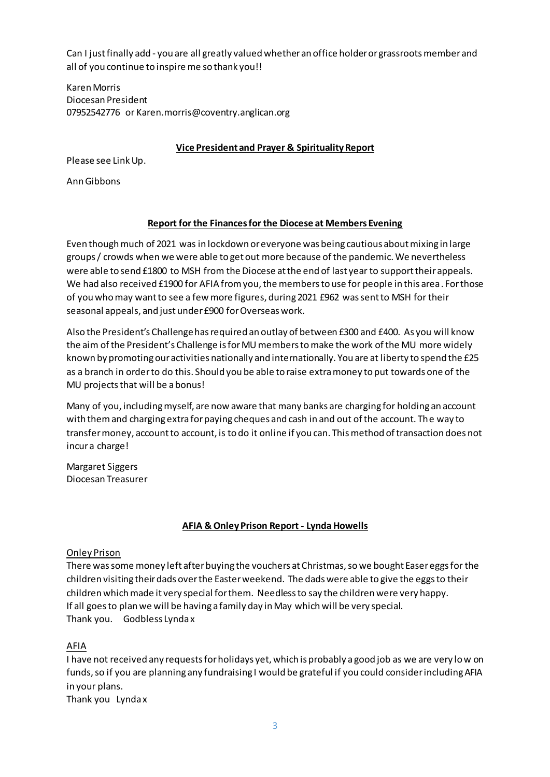Can I just finally add - you are all greatly valued whether an office holder or grassroots member and all of you continue to inspire me so thank you!!

Karen Morris Diocesan President 07952542776 or Karen.morris@coventry.anglican.org

#### **Vice President and Prayer & Spirituality Report**

Please see Link Up.

Ann Gibbons

## **Report for the Finances for the Diocese at Members Evening**

Even though much of 2021 was in lockdown or everyone was being cautious about mixing in large groups / crowds when we were able to get out more because of the pandemic. We nevertheless were able to send £1800 to MSH from the Diocese at the end of last year to support their appeals. We had also received £1900 for AFIA from you, the members to use for people in this area. For those of you who may want to see a few more figures, during 2021 £962 was sent to MSH for their seasonal appeals, and just under £900 for Overseas work.

Also the President's Challenge has required an outlay of between £300 and £400. As you will know the aim of the President's Challenge is for MU members to make the work of the MU more widely known by promoting our activities nationally and internationally. You are at liberty to spend the £25 as a branch in order to do this. Should you be able to raise extra money to put towards one of the MU projects that will be a bonus!

Many of you, including myself, are now aware that many banks are charging for holding an account with them and charging extra for paying cheques and cash in and out of the account. The way to transfer money, account to account, is to do it online if you can. This method of transaction does not incur a charge!

Margaret Siggers Diocesan Treasurer

### **AFIA & Onley Prison Report - Lynda Howells**

### Onley Prison

There was some money left after buying the vouchers at Christmas, so we bought Easer eggs for the children visiting their dads over the Easter weekend. The dads were able to give the eggs to their children which made it very special for them. Needless to say the children were very happy. If all goes to plan we will be having a family day in May which will be very special. Thank you. Godbless Lynda x

AFIA

I have not received any requests for holidays yet, which is probably a good job as we are very low on funds, so if you are planning any fundraising I would be grateful if you could consider including AFIA in your plans.

Thank you Lynda x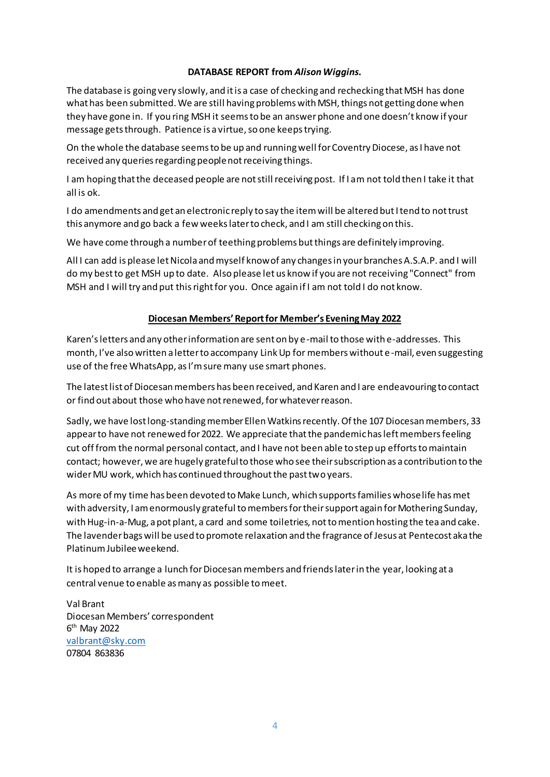#### **DATABASE REPORT from** *Alison Wiggins.*

The database is going very slowly, and it is a case of checking and rechecking that MSH has done what has been submitted. We are still having problems with MSH, things not getting done when they have gone in. If you ring MSH it seems to be an answer phone and one doesn't know if your message gets through. Patience is a virtue, so one keeps trying.

On the whole the database seems to be up and running well for Coventry Diocese, as I have not received any queries regarding people not receiving things.

I am hoping that the deceased people are not still receiving post. If I am not told then I take it that all is ok.

I do amendments and get an electronic reply to say the item will be altered but I tend to not trust this anymore and go back a few weeks later to check, and I am still checking on this.

We have come through a number of teething problems but things are definitely improving.

All I can add is please let Nicola and myself know of any changes in your branches A.S.A.P. and I will do my best to get MSH up to date. Also please let us know if you are not receiving "Connect" from MSH and I will try and put this right for you. Once again if I am not told I do not know.

### **Diocesan Members' Report for Member's Evening May 2022**

Karen's letters and any other information are sent on by e-mail to those with e-addresses. This month, I've also written a letter to accompany Link Up for members without e-mail, even suggesting use of the free WhatsApp, as I'm sure many use smart phones.

The latest list of Diocesan members has been received, and Karen and I are endeavouring to contact or find out about those who have not renewed, for whatever reason.

Sadly, we have lost long-standing member Ellen Watkins recently. Of the 107 Diocesan members, 33 appear to have not renewed for 2022. We appreciate that the pandemic has left members feeling cut off from the normal personal contact, and I have not been able to step up efforts to maintain contact; however, we are hugely grateful to those who see their subscription as a contribution to the wider MU work, which has continued throughout the past two years.

As more of my time has been devoted to Make Lunch, which supports families whose life has met with adversity, I am enormously grateful to members for their support again for Mothering Sunday, with Hug-in-a-Mug, a pot plant, a card and some toiletries, not to mention hosting the tea and cake. The lavender bags will be used to promote relaxation and the fragrance of Jesus at Pentecost aka the Platinum Jubilee weekend.

It is hoped to arrange a lunch for Diocesan members and friends later in the year, looking at a central venue to enable as many as possible to meet.

Val Brant Diocesan Members' correspondent 6<sup>th</sup> May 2022 [valbrant@sky.com](mailto:valbrant@sky.com) 07804 863836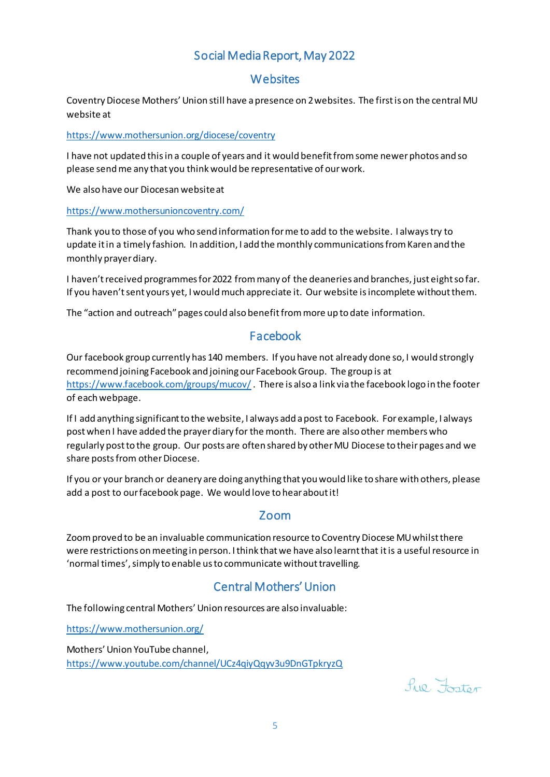# Social Media Report, May 2022

## **Websites**

Coventry Diocese Mothers' Union still have a presence on 2 websites. The first is on the central MU website at

<https://www.mothersunion.org/diocese/coventry>

I have not updated this in a couple of years and it would benefit from some newer photos and so please send me any that you think would be representative of our work.

We also have our Diocesan website at

<https://www.mothersunioncoventry.com/>

Thank you to those of you who send information for me to add to the website. I always try to update it in a timely fashion. In addition, I add the monthly communications from Karen and the monthly prayer diary.

I haven't received programmes for 2022 from many of the deaneries and branches, just eight so far. If you haven't sent yours yet, I would much appreciate it. Our website is incomplete without them.

The "action and outreach" pages could also benefit from more up to date information.

# Facebook

Our facebook group currently has 140 members. If you have not already done so, I would strongly recommend joining Facebook and joining our Facebook Group. The group is at <https://www.facebook.com/groups/mucov/>. There is also a link via the facebook logo in the footer of each webpage.

If I add anything significant to the website, I always add a post to Facebook. For example, I always post when I have added the prayer diary for the month. There are also other members who regularly post to the group. Our posts are often shared by other MU Diocese to their pages and we share posts from other Diocese.

If you or your branch or deanery are doing anything that you would like to share with others, please add a post to our facebook page. We would love to hear about it!

## Zoom

Zoom proved to be an invaluable communication resource to Coventry Diocese MU whilst there were restrictions on meeting in person. I think that we have also learnt that it is a useful resource in 'normal times', simply to enable us to communicate without travelling.

# Central Mothers' Union

The following central Mothers' Union resources are also invaluable:

<https://www.mothersunion.org/>

Mothers' Union YouTube channel, <https://www.youtube.com/channel/UCz4qiyQqyv3u9DnGTpkryzQ>

 $f_{110}$ ,  $F_{\text{ontor}}$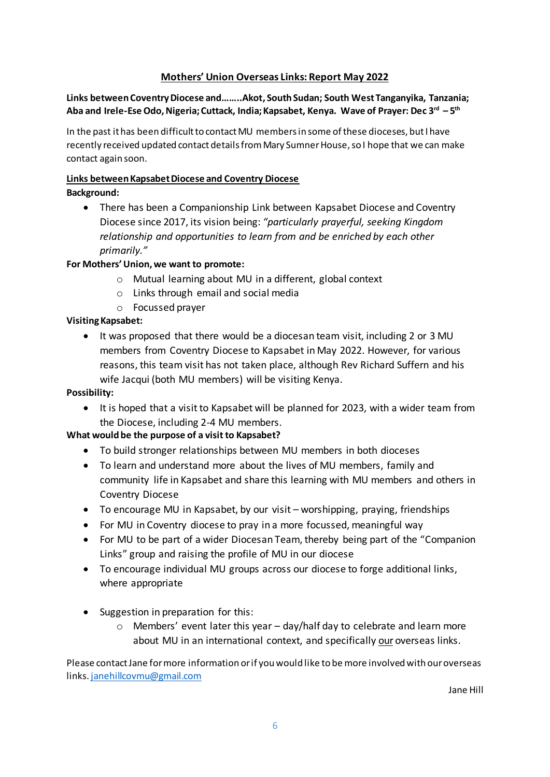## **Mothers' Union Overseas Links: Report May 2022**

**Links between Coventry Diocese and……..Akot, South Sudan; South West Tanganyika, Tanzania; Aba and Irele-Ese Odo, Nigeria; Cuttack, India; Kapsabet, Kenya. Wave of Prayer: Dec 3rd – 5 th**

In the past it has been difficult to contact MU members in some of these dioceses, but I have recently received updated contact details from Mary Sumner House, so I hope that we can make contact again soon.

## **Links between Kapsabet Diocese and Coventry Diocese**

## **Background:**

• There has been a Companionship Link between Kapsabet Diocese and Coventry Diocese since 2017, its vision being: *"particularly prayerful, seeking Kingdom relationship and opportunities to learn from and be enriched by each other primarily."*

## **For Mothers' Union, we want to promote:**

- o Mutual learning about MU in a different, global context
- o Links through email and social media
- o Focussed prayer

## **Visiting Kapsabet:**

• It was proposed that there would be a diocesan team visit, including 2 or 3 MU members from Coventry Diocese to Kapsabet in May 2022. However, for various reasons, this team visit has not taken place, although Rev Richard Suffern and his wife Jacqui (both MU members) will be visiting Kenya.

## **Possibility:**

• It is hoped that a visit to Kapsabet will be planned for 2023, with a wider team from the Diocese, including 2-4 MU members.

## **What would be the purpose of a visit to Kapsabet?**

- To build stronger relationships between MU members in both dioceses
- To learn and understand more about the lives of MU members, family and community life in Kapsabet and share this learning with MU members and others in Coventry Diocese
- To encourage MU in Kapsabet, by our visit worshipping, praying, friendships
- For MU in Coventry diocese to pray in a more focussed, meaningful way
- For MU to be part of a wider Diocesan Team, thereby being part of the "Companion Links" group and raising the profile of MU in our diocese
- To encourage individual MU groups across our diocese to forge additional links, where appropriate
- Suggestion in preparation for this:
	- $\circ$  Members' event later this year day/half day to celebrate and learn more about MU in an international context, and specifically our overseas links.

Please contact Jane for more information or if you would like to be more involved with our overseas links[. janehillcovmu@gmail.com](mailto:janehillcovmu@gmail.com)

Jane Hill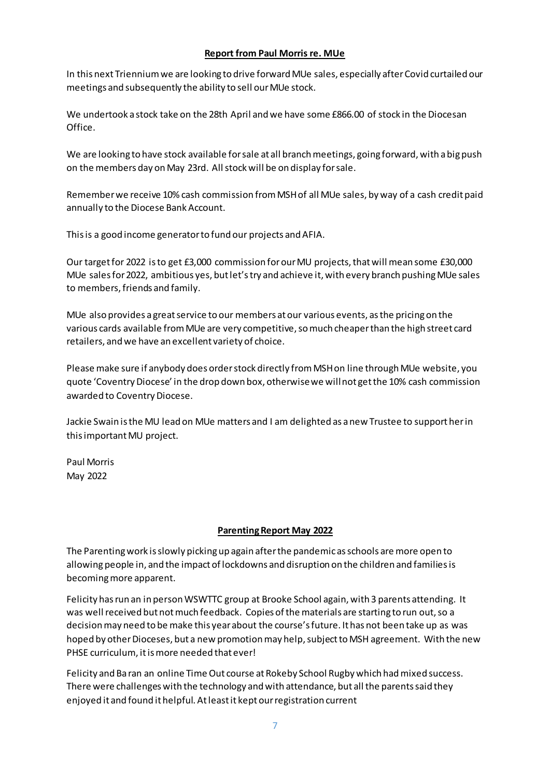### **Report from Paul Morris re. MUe**

In this next Triennium we are looking to drive forward MUe sales, especially after Covid curtailed our meetings and subsequently the ability to sell our MUe stock.

We undertook a stock take on the 28th April and we have some £866.00 of stock in the Diocesan Office.

We are looking to have stock available for sale at all branch meetings, going forward, with a big push on the members day on May 23rd. All stock will be on display for sale.

Remember we receive 10% cash commission from MSH of all MUe sales, by way of a cash credit paid annually to the Diocese Bank Account.

This is a good income generator to fund our projects and AFIA.

Our target for 2022 is to get £3,000 commission for our MU projects, that will mean some £30,000 MUe sales for 2022, ambitious yes, but let's try and achieve it, with every branch pushing MUe sales to members, friends and family.

MUe also provides a great service to our members at our various events, as the pricing on the various cards available from MUe are very competitive, so much cheaper than the high street card retailers, and we have an excellent variety of choice.

Please make sure if anybody does order stock directly from MSH on line through MUe website, you quote 'Coventry Diocese' in the drop down box, otherwise we will not get the 10% cash commission awarded to Coventry Diocese.

Jackie Swain is the MU lead on MUe matters and I am delighted as a new Trustee to support her in this important MU project.

Paul Morris May 2022

### **Parenting Report May 2022**

The Parenting work is slowly picking up again after the pandemic as schools are more open to allowing people in, and the impact of lockdowns and disruption on the children and families is becoming more apparent.

Felicity has run an in person WSWTTC group at Brooke School again, with 3 parents attending. It was well received but not much feedback. Copies of the materials are starting to run out, so a decision may need to be make this year about the course's future. It has not been take up as was hoped by other Dioceses, but a new promotion may help, subject to MSH agreement. With the new PHSE curriculum, it is more needed that ever!

Felicity and Ba ran an online Time Out course at Rokeby School Rugby which had mixed success. There were challenges with the technology and with attendance, but all the parents said they enjoyed it and found it helpful. At least it kept our registration current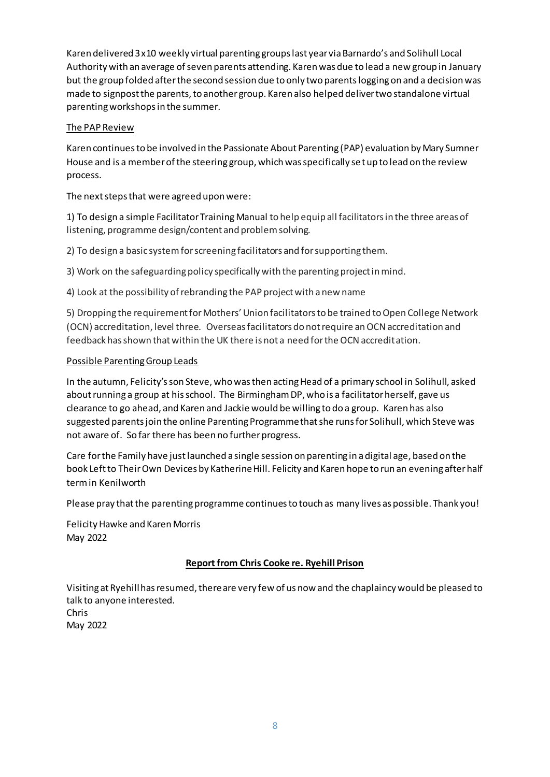Karen delivered 3 x10 weekly virtual parenting groups last year via Barnardo's and Solihull Local Authority with an average of seven parents attending. Karen was due to lead a new group in January but the group folded after the second session due to only two parents logging on and a decision was made to signpost the parents, to another group. Karen also helped deliver two standalone virtual parenting workshops in the summer.

### The PAP Review

Karen continues to be involved in the Passionate About Parenting (PAP) evaluation by Mary Sumner House and is a member of the steering group, which was specifically set up to lead on the review process.

## The next steps that were agreed upon were:

1) To design a simple Facilitator Training Manual to help equip all facilitators in the three areas of listening, programme design/content and problem solving.

2) To design a basic system for screening facilitators and for supporting them.

3) Work on the safeguarding policy specifically with the parenting project in mind.

4) Look at the possibility of rebranding the PAP project with a new name

5) Dropping the requirement for Mothers' Union facilitators to be trained to Open College Network (OCN) accreditation, level three. Overseas facilitators do not require an OCN accreditation and feedback has shown that within the UK there is not a need for the OCN accreditation.

### Possible Parenting Group Leads

In the autumn, Felicity's son Steve, who was then acting Head of a primary school in Solihull, asked about running a group at his school. The Birmingham DP, who is a facilitator herself, gave us clearance to go ahead, and Karen and Jackie would be willing to do a group. Karen has also suggested parents join the online Parenting Programme that she runs for Solihull, which Steve was not aware of. So far there has been no further progress.

Care for the Family have just launched a single session on parenting in a digital age, based on the book Left to Their Own Devices by Katherine Hill. Felicity and Karen hope to run an evening after half term in Kenilworth

Please pray that the parenting programme continues to touch as many lives as possible. Thank you!

Felicity Hawke and Karen Morris May 2022

## **Report from Chris Cooke re. Ryehill Prison**

Visiting at Ryehill has resumed, there are very few of us now and the chaplaincy would be pleased to talk to anyone interested. Chris May 2022